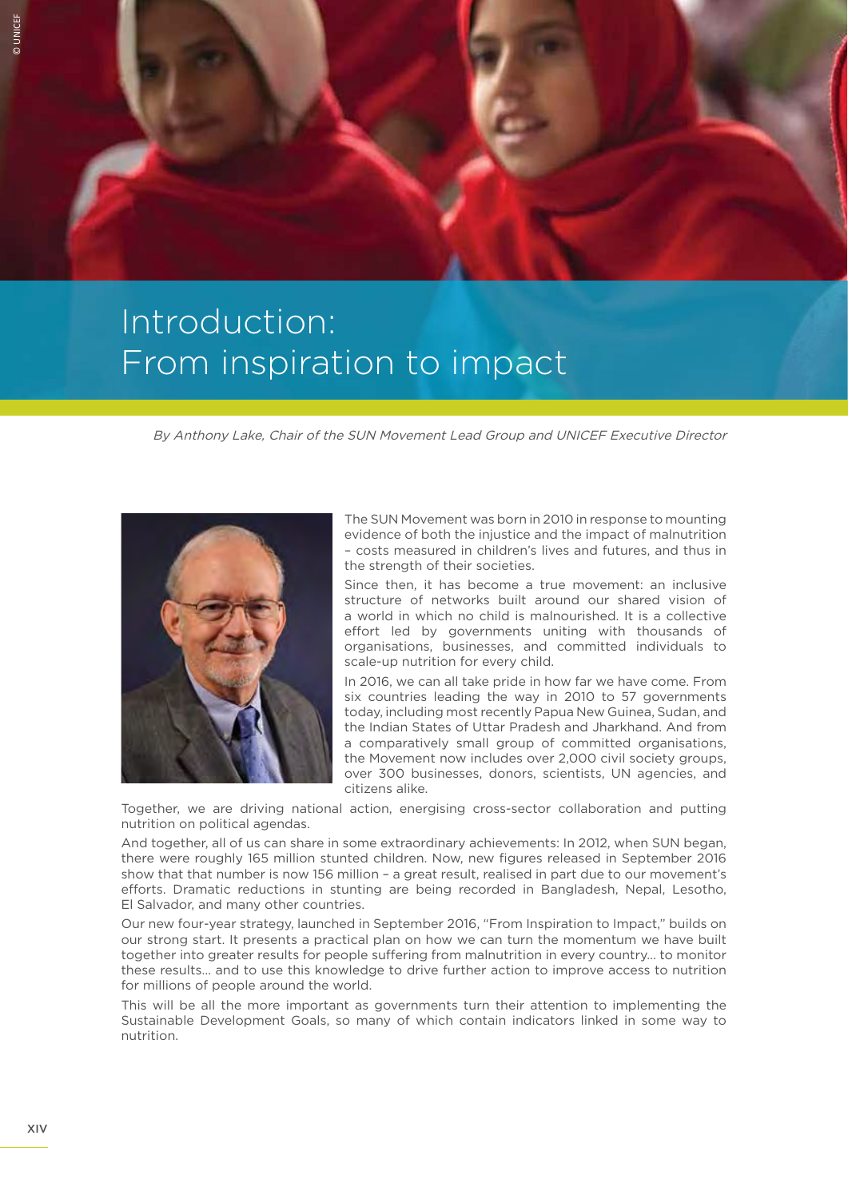

## Introduction: From inspiration to impact

By Anthony Lake, Chair of the SUN Movement Lead Group and UNICEF Executive Director



The SUN Movement was born in 2010 in response to mounting evidence of both the injustice and the impact of malnutrition – costs measured in children's lives and futures, and thus in the strength of their societies.

Since then, it has become a true movement: an inclusive structure of networks built around our shared vision of a world in which no child is malnourished. It is a collective effort led by governments uniting with thousands of organisations, businesses, and committed individuals to scale-up nutrition for every child.

In 2016, we can all take pride in how far we have come. From six countries leading the way in 2010 to 57 governments today, including most recently Papua New Guinea, Sudan, and the Indian States of Uttar Pradesh and Jharkhand. And from a comparatively small group of committed organisations, the Movement now includes over 2,000 civil society groups, over 300 businesses, donors, scientists, UN agencies, and citizens alike.

Together, we are driving national action, energising cross-sector collaboration and putting nutrition on political agendas.

And together, all of us can share in some extraordinary achievements: In 2012, when SUN began, there were roughly 165 million stunted children. Now, new figures released in September 2016 show that that number is now 156 million – a great result, realised in part due to our movement's efforts. Dramatic reductions in stunting are being recorded in Bangladesh, Nepal, Lesotho, El Salvador, and many other countries.

Our new four-year strategy, launched in September 2016, "From Inspiration to Impact," builds on our strong start. It presents a practical plan on how we can turn the momentum we have built together into greater results for people suffering from malnutrition in every country... to monitor these results… and to use this knowledge to drive further action to improve access to nutrition for millions of people around the world.

This will be all the more important as governments turn their attention to implementing the Sustainable Development Goals, so many of which contain indicators linked in some way to nutrition.